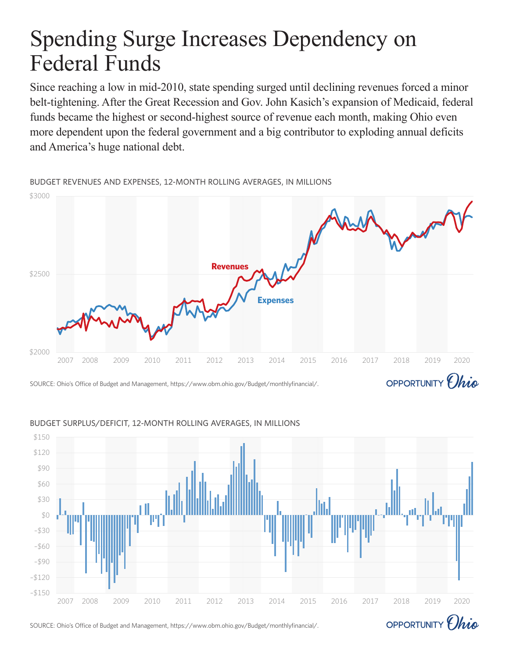# Spending Surge Increases Dependency on Federal Funds

Since reaching a low in mid-2010, state spending surged until declining revenues forced a minor belt-tightening. After the Great Recession and Gov. John Kasich's expansion of Medicaid, federal funds became the highest or second-highest source of revenue each month, making Ohio even more dependent upon the federal government and a big contributor to exploding annual deficits and America's huge national debt.

BUDGET REVENUES AND EXPENSES, 12-MONTH ROLLING AVERAGES, IN MILLIONS



SOURCE: Ohio's Office of Budget and Management, https://www.obm.ohio.gov/Budget/monthlyfinancial/.



### BUDGET SURPLUS/DEFICIT, 12-MONTH ROLLING AVERAGES, IN MILLIONS